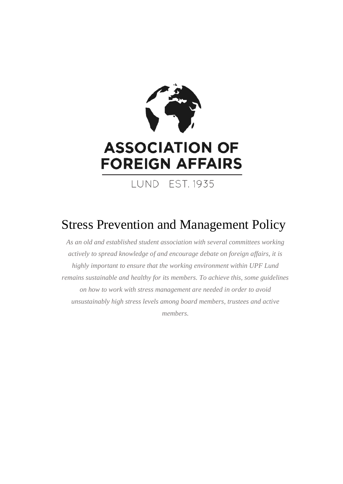

# Stress Prevention and Management Policy

*As an old and established student association with several committees working actively to spread knowledge of and encourage debate on foreign affairs, it is highly important to ensure that the working environment within UPF Lund remains sustainable and healthy for its members. To achieve this, some guidelines on how to work with stress management are needed in order to avoid unsustainably high stress levels among board members, trustees and active members.*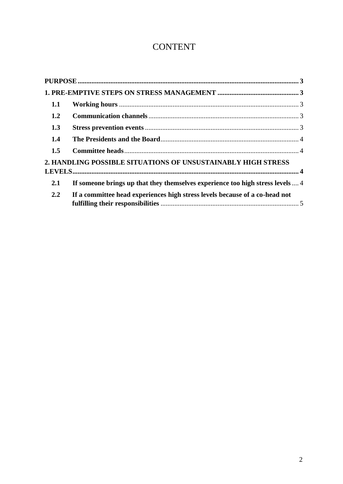# **CONTENT**

| 1.1 |                                                                                |  |
|-----|--------------------------------------------------------------------------------|--|
| 1.2 |                                                                                |  |
| 1.3 |                                                                                |  |
| 1.4 |                                                                                |  |
| 1.5 |                                                                                |  |
|     | 2. HANDLING POSSIBLE SITUATIONS OF UNSUSTAINABLY HIGH STRESS                   |  |
|     |                                                                                |  |
| 2.1 | If someone brings up that they themselves experience too high stress levels  4 |  |
| 2.2 | If a committee head experiences high stress levels because of a co-head not    |  |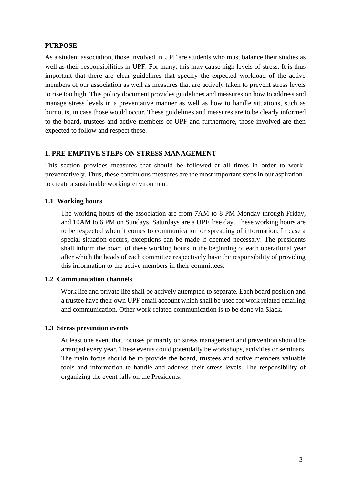# <span id="page-2-0"></span>**PURPOSE**

As a student association, those involved in UPF are students who must balance their studies as well as their responsibilities in UPF. For many, this may cause high levels of stress. It is thus important that there are clear guidelines that specify the expected workload of the active members of our association as well as measures that are actively taken to prevent stress levels to rise too high. This policy document provides guidelines and measures on how to address and manage stress levels in a preventative manner as well as how to handle situations, such as burnouts, in case those would occur. These guidelines and measures are to be clearly informed to the board, trustees and active members of UPF and furthermore, those involved are then expected to follow and respect these.

#### <span id="page-2-1"></span>**1. PRE-EMPTIVE STEPS ON STRESS MANAGEMENT**

This section provides measures that should be followed at all times in order to work preventatively. Thus, these continuous measures are the most important steps in our aspiration to create a sustainable working environment.

#### <span id="page-2-2"></span>**1.1 Working hours**

The working hours of the association are from 7AM to 8 PM Monday through Friday, and 10AM to 6 PM on Sundays. Saturdays are a UPF free day. These working hours are to be respected when it comes to communication or spreading of information. In case a special situation occurs, exceptions can be made if deemed necessary. The presidents shall inform the board of these working hours in the beginning of each operational year after which the heads of each committee respectively have the responsibility of providing this information to the active members in their committees.

#### <span id="page-2-3"></span>**1.2 Communication channels**

Work life and private life shall be actively attempted to separate. Each board position and a trustee have their own UPF email account which shall be used for work related emailing and communication. Other work-related communication is to be done via Slack.

#### <span id="page-2-4"></span>**1.3 Stress prevention events**

At least one event that focuses primarily on stress management and prevention should be arranged every year. These events could potentially be workshops, activities or seminars. The main focus should be to provide the board, trustees and active members valuable tools and information to handle and address their stress levels. The responsibility of organizing the event falls on the Presidents.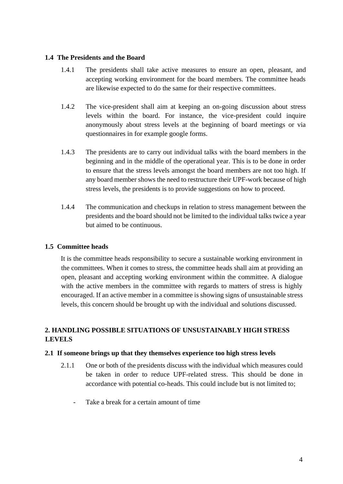## <span id="page-3-0"></span>**1.4 The Presidents and the Board**

- 1.4.1 The presidents shall take active measures to ensure an open, pleasant, and accepting working environment for the board members. The committee heads are likewise expected to do the same for their respective committees.
- 1.4.2 The vice-president shall aim at keeping an on-going discussion about stress levels within the board. For instance, the vice-president could inquire anonymously about stress levels at the beginning of board meetings or via questionnaires in for example google forms.
- 1.4.3 The presidents are to carry out individual talks with the board members in the beginning and in the middle of the operational year. This is to be done in order to ensure that the stress levels amongst the board members are not too high. If any board member shows the need to restructure their UPF-work because of high stress levels, the presidents is to provide suggestions on how to proceed.
- 1.4.4 The communication and checkups in relation to stress management between the presidents and the board should not be limited to the individual talks twice a year but aimed to be continuous.

# <span id="page-3-1"></span>**1.5 Committee heads**

It is the committee heads responsibility to secure a sustainable working environment in the committees. When it comes to stress, the committee heads shall aim at providing an open, pleasant and accepting working environment within the committee. A dialogue with the active members in the committee with regards to matters of stress is highly encouraged. If an active member in a committee is showing signs of unsustainable stress levels, this concern should be brought up with the individual and solutions discussed.

# <span id="page-3-2"></span>**2. HANDLING POSSIBLE SITUATIONS OF UNSUSTAINABLY HIGH STRESS LEVELS**

#### <span id="page-3-3"></span>**2.1 If someone brings up that they themselves experience too high stress levels**

- 2.1.1 One or both of the presidents discuss with the individual which measures could be taken in order to reduce UPF-related stress. This should be done in accordance with potential co-heads. This could include but is not limited to;
	- Take a break for a certain amount of time